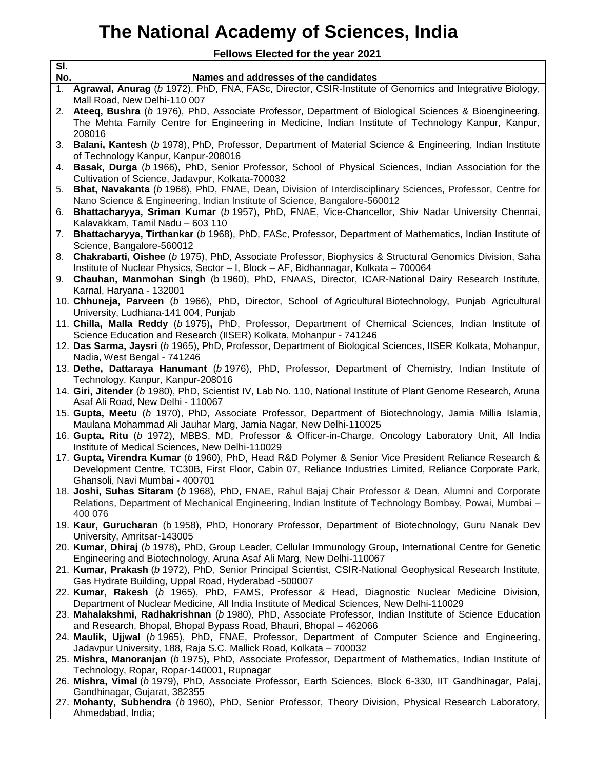## **The National Academy of Sciences, India**

**Fellows Elected for the year 2021**

┑

| SI.<br>No. | Names and addresses of the candidates                                                                                                                              |
|------------|--------------------------------------------------------------------------------------------------------------------------------------------------------------------|
| 1.         | Agrawal, Anurag (b 1972), PhD, FNA, FASc, Director, CSIR-Institute of Genomics and Integrative Biology,                                                            |
|            | Mall Road, New Delhi-110 007                                                                                                                                       |
| 2.         | Ateeq, Bushra (b 1976), PhD, Associate Professor, Department of Biological Sciences & Bioengineering,                                                              |
|            | The Mehta Family Centre for Engineering in Medicine, Indian Institute of Technology Kanpur, Kanpur,                                                                |
|            | 208016                                                                                                                                                             |
|            | 3. Balani, Kantesh (b 1978), PhD, Professor, Department of Material Science & Engineering, Indian Institute                                                        |
|            | of Technology Kanpur, Kanpur-208016                                                                                                                                |
| 4.         | Basak, Durga (b 1966), PhD, Senior Professor, School of Physical Sciences, Indian Association for the                                                              |
|            | Cultivation of Science, Jadavpur, Kolkata-700032                                                                                                                   |
| 5.         | Bhat, Navakanta (b 1968), PhD, FNAE, Dean, Division of Interdisciplinary Sciences, Professor, Centre for                                                           |
|            | Nano Science & Engineering, Indian Institute of Science, Bangalore-560012                                                                                          |
| 6.         | Bhattacharyya, Sriman Kumar (b 1957), PhD, FNAE, Vice-Chancellor, Shiv Nadar University Chennai,                                                                   |
|            | Kalavakkam, Tamil Nadu - 603 110                                                                                                                                   |
| 7.         | Bhattacharyya, Tirthankar (b 1968), PhD, FASc, Professor, Department of Mathematics, Indian Institute of                                                           |
|            | Science, Bangalore-560012                                                                                                                                          |
| 8.         | Chakrabarti, Oishee (b 1975), PhD, Associate Professor, Biophysics & Structural Genomics Division, Saha                                                            |
|            | Institute of Nuclear Physics, Sector - I, Block - AF, Bidhannagar, Kolkata - 700064                                                                                |
|            | 9. Chauhan, Manmohan Singh (b 1960), PhD, FNAAS, Director, ICAR-National Dairy Research Institute,                                                                 |
|            | Karnal, Haryana - 132001                                                                                                                                           |
|            | 10. Chhuneja, Parveen (b 1966), PhD, Director, School of Agricultural Biotechnology, Punjab Agricultural                                                           |
|            | University, Ludhiana-141 004, Punjab                                                                                                                               |
|            | 11. Chilla, Malla Reddy (b 1975), PhD, Professor, Department of Chemical Sciences, Indian Institute of                                                             |
|            | Science Education and Research (IISER) Kolkata, Mohanpur - 741246                                                                                                  |
|            | 12. Das Sarma, Jaysri (b 1965), PhD, Professor, Department of Biological Sciences, IISER Kolkata, Mohanpur,<br>Nadia, West Bengal - 741246                         |
|            | 13. Dethe, Dattaraya Hanumant (b 1976), PhD, Professor, Department of Chemistry, Indian Institute of                                                               |
|            | Technology, Kanpur, Kanpur-208016                                                                                                                                  |
|            | 14. Giri, Jitender (b 1980), PhD, Scientist IV, Lab No. 110, National Institute of Plant Genome Research, Aruna                                                    |
|            | Asaf Ali Road, New Delhi - 110067                                                                                                                                  |
|            | 15. Gupta, Meetu (b 1970), PhD, Associate Professor, Department of Biotechnology, Jamia Millia Islamia,                                                            |
|            | Maulana Mohammad Ali Jauhar Marg, Jamia Nagar, New Delhi-110025                                                                                                    |
|            | 16. Gupta, Ritu (b 1972), MBBS, MD, Professor & Officer-in-Charge, Oncology Laboratory Unit, All India                                                             |
|            | Institute of Medical Sciences, New Delhi-110029                                                                                                                    |
|            | 17. Gupta, Virendra Kumar (b 1960), PhD, Head R&D Polymer & Senior Vice President Reliance Research &                                                              |
|            | Development Centre, TC30B, First Floor, Cabin 07, Reliance Industries Limited, Reliance Corporate Park,                                                            |
|            | Ghansoli, Navi Mumbai - 400701                                                                                                                                     |
|            | 18. Joshi, Suhas Sitaram (b 1968), PhD, FNAE, Rahul Bajaj Chair Professor & Dean, Alumni and Corporate                                                             |
|            | Relations, Department of Mechanical Engineering, Indian Institute of Technology Bombay, Powai, Mumbai -                                                            |
|            | 400 076                                                                                                                                                            |
|            | 19. Kaur, Gurucharan (b 1958), PhD, Honorary Professor, Department of Biotechnology, Guru Nanak Dev                                                                |
|            | University, Amritsar-143005                                                                                                                                        |
|            | 20. Kumar, Dhiraj (b 1978), PhD, Group Leader, Cellular Immunology Group, International Centre for Genetic                                                         |
|            | Engineering and Biotechnology, Aruna Asaf Ali Marg, New Delhi-110067                                                                                               |
|            | 21. Kumar, Prakash (b 1972), PhD, Senior Principal Scientist, CSIR-National Geophysical Research Institute,<br>Gas Hydrate Building, Uppal Road, Hyderabad -500007 |
|            | 22. Kumar, Rakesh (b 1965), PhD, FAMS, Professor & Head, Diagnostic Nuclear Medicine Division,                                                                     |
|            | Department of Nuclear Medicine, All India Institute of Medical Sciences, New Delhi-110029                                                                          |
|            | 23. Mahalakshmi, Radhakrishnan (b 1980), PhD, Associate Professor, Indian Institute of Science Education                                                           |
|            | and Research, Bhopal, Bhopal Bypass Road, Bhauri, Bhopal - 462066                                                                                                  |
|            | 24. Maulik, Ujjwal (b 1965), PhD, FNAE, Professor, Department of Computer Science and Engineering,                                                                 |
|            | Jadavpur University, 188, Raja S.C. Mallick Road, Kolkata - 700032                                                                                                 |
|            | 25. Mishra, Manoranjan (b 1975), PhD, Associate Professor, Department of Mathematics, Indian Institute of                                                          |
|            | Technology, Ropar, Ropar-140001, Rupnagar                                                                                                                          |
|            | 26. Mishra, Vimal (b 1979), PhD, Associate Professor, Earth Sciences, Block 6-330, IIT Gandhinagar, Palaj,                                                         |
|            | Gandhinagar, Gujarat, 382355<br>Drefesser, Theam: Division, Dhuaisel Desse                                                                                         |
|            |                                                                                                                                                                    |

27. **Mohanty, Subhendra** (*b* 1960), PhD, Senior Professor, Theory Division, Physical Research Laboratory, Ahmedabad, India;